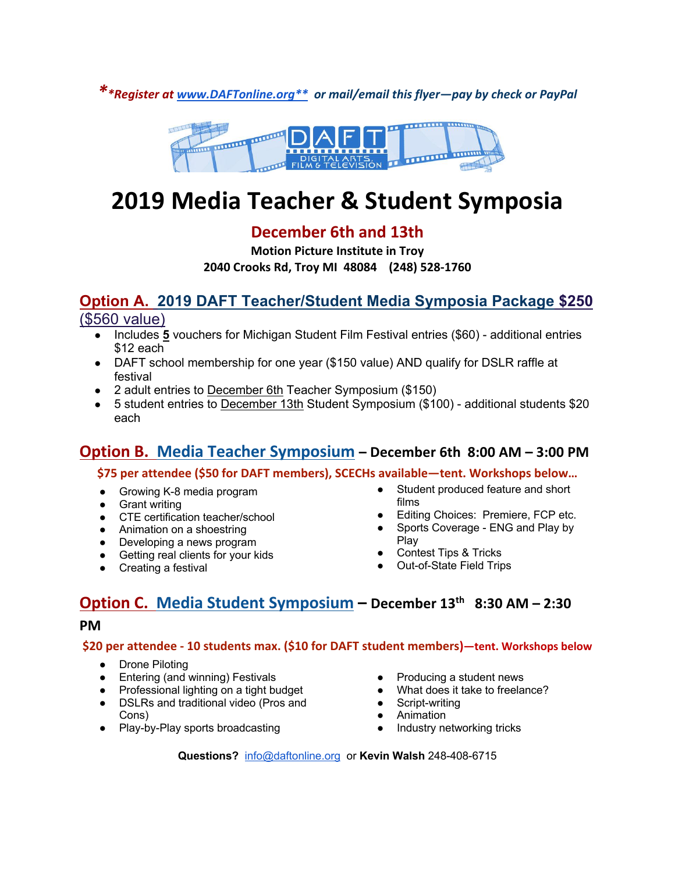*\*\*Register at www.DAFTonline.org\*\* or mail/email this flyer—pay by check or PayPal*



# **2019 Media Teacher & Student Symposia**

### **December 6th and 13th**

**Motion Picture Institute in Troy 2040 Crooks Rd, Troy MI 48084 (248) 528-1760**

### **Option A. 2019 DAFT Teacher/Student Media Symposia Package \$250**

(\$560 value)

- Includes 5 vouchers for Michigan Student Film Festival entries (\$60) additional entries \$12 each
- DAFT school membership for one year (\$150 value) AND qualify for DSLR raffle at festival
- 2 adult entries to December 6th Teacher Symposium (\$150)
- 5 student entries to December 13th Student Symposium (\$100) additional students \$20 each

### **Option B. Media Teacher Symposium – December 6th 8:00 AM – 3:00 PM**

**\$75 per attendee (\$50 for DAFT members), SCECHs available—tent. Workshops below…**

- Growing K-8 media program
- Grant writing
- CTE certification teacher/school
- Animation on a shoestring
- Developing a news program
- Getting real clients for your kids
- Creating a festival
- Student produced feature and short films
- Editing Choices: Premiere, FCP etc.
- Sports Coverage ENG and Play by Play
- **Contest Tips & Tricks**
- Out-of-State Field Trips

## **Option C. Media Student Symposium – December 13th 8:30 AM – 2:30**

#### **PM**

**\$20 per attendee - 10 students max. (\$10 for DAFT student members)—tent. Workshops below**

- Drone Piloting
- Entering (and winning) Festivals
- Professional lighting on a tight budget
- DSLRs and traditional video (Pros and Cons)
- Play-by-Play sports broadcasting
- Producing a student news
- What does it take to freelance?
- Script-writing
- **Animation**
- Industry networking tricks

**Questions?** info@daftonline.org or **Kevin Walsh** 248-408-6715